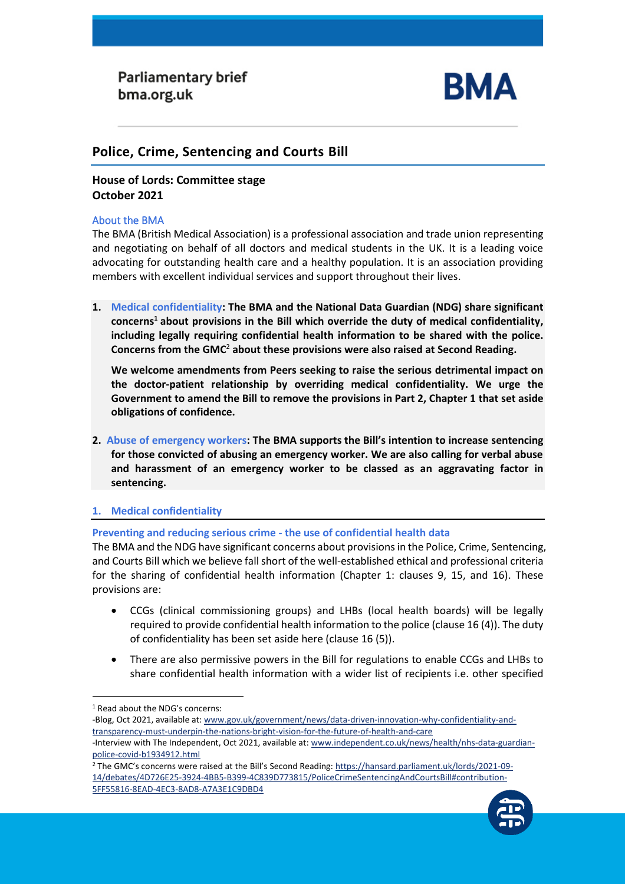

# **Police, Crime, Sentencing and Courts Bill**

# **House of Lords: Committee stage October 2021**

### About the BMA

The BMA (British Medical Association) is a professional association and trade union representing and negotiating on behalf of all doctors and medical students in the UK. It is a leading voice advocating for outstanding health care and a healthy population. It is an association providing members with excellent individual services and support throughout their lives.

**1. Medical confidentiality: The BMA and the National Data Guardian (NDG) share significant concerns <sup>1</sup> about provisions in the Bill which override the duty of medical confidentiality, including legally requiring confidential health information to be shared with the police. Concerns from the GMC**<sup>2</sup> **about these provisions were also raised at Second Reading.**

**. We welcome amendments from Peers seeking to raise the serious detrimental impact on the doctor-patient relationship by overriding medical confidentiality. We urge the Government to amend the Bill to remove the provisions in Part 2, Chapter 1 that set aside obligations of confidence.**

**2. Abuse of emergency workers: The BMA supports the Bill's intention to increase sentencing for those convicted of abusing an emergency worker. We are also calling for verbal abuse and harassment of an emergency worker to be classed as an aggravating factor in sentencing.** 

### **1. Medical confidentiality**

## **Preventing and reducing serious crime - the use of confidential health data**

The BMA and the NDG have significant concerns about provisions in the Police, Crime, Sentencing, and Courts Bill which we believe fall short of the well-established ethical and professional criteria for the sharing of confidential health information (Chapter 1: clauses 9, 15, and 16). These provisions are:

- CCGs (clinical commissioning groups) and LHBs (local health boards) will be legally required to provide confidential health information to the police (clause 16 (4)). The duty of confidentiality has been set aside here (clause 16 (5)).
- There are also permissive powers in the Bill for regulations to enable CCGs and LHBs to share confidential health information with a wider list of recipients i.e. other specified

-Blog, Oct 2021, available at[: www.gov.uk/government/news/data-driven-innovation-why-confidentiality-and](http://www.gov.uk/government/news/data-driven-innovation-why-confidentiality-and-transparency-must-underpin-the-nations-bright-vision-for-the-future-of-health-and-care)[transparency-must-underpin-the-nations-bright-vision-for-the-future-of-health-and-care](http://www.gov.uk/government/news/data-driven-innovation-why-confidentiality-and-transparency-must-underpin-the-nations-bright-vision-for-the-future-of-health-and-care) -Interview with The Independent, Oct 2021, available at[: www.independent.co.uk/news/health/nhs-data-guardian](http://www.independent.co.uk/news/health/nhs-data-guardian-police-covid-b1934912.html)[police-covid-b1934912.html](http://www.independent.co.uk/news/health/nhs-data-guardian-police-covid-b1934912.html)

<sup>2</sup> The GMC's concerns were raised at the Bill's Second Reading[: https://hansard.parliament.uk/lords/2021-09-](https://hansard.parliament.uk/lords/2021-09-14/debates/4D726E25-3924-4BB5-B399-4C839D773815/PoliceCrimeSentencingAndCourtsBill#contribution-5FF55816-8EAD-4EC3-8AD8-A7A3E1C9DBD4) [14/debates/4D726E25-3924-4BB5-B399-4C839D773815/PoliceCrimeSentencingAndCourtsBill#contribution-](https://hansard.parliament.uk/lords/2021-09-14/debates/4D726E25-3924-4BB5-B399-4C839D773815/PoliceCrimeSentencingAndCourtsBill#contribution-5FF55816-8EAD-4EC3-8AD8-A7A3E1C9DBD4)[5FF55816-8EAD-4EC3-8AD8-A7A3E1C9DBD4](https://hansard.parliament.uk/lords/2021-09-14/debates/4D726E25-3924-4BB5-B399-4C839D773815/PoliceCrimeSentencingAndCourtsBill#contribution-5FF55816-8EAD-4EC3-8AD8-A7A3E1C9DBD4)



<sup>1</sup> Read about the NDG's concerns: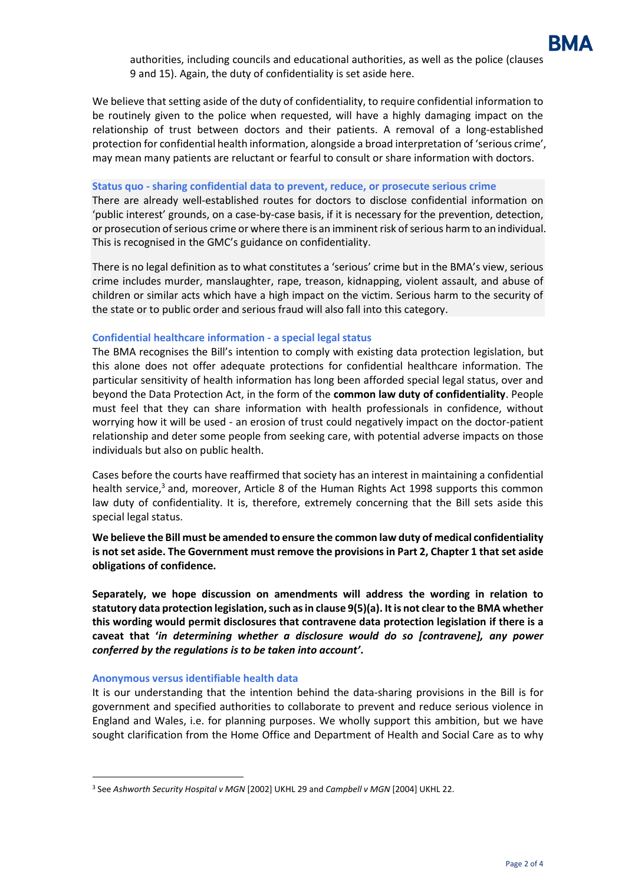

authorities, including councils and educational authorities, as well as the police (clauses 9 and 15). Again, the duty of confidentiality is set aside here.

We believe that setting aside of the duty of confidentiality, to require confidential information to be routinely given to the police when requested, will have a highly damaging impact on the relationship of trust between doctors and their patients. A removal of a long-established protection for confidential health information, alongside a broad interpretation of 'serious crime', may mean many patients are reluctant or fearful to consult or share information with doctors.

#### **Status quo - sharing confidential data to prevent, reduce, or prosecute serious crime**

There are already well-established routes for doctors to disclose confidential information on 'public interest' grounds, on a case-by-case basis, if it is necessary for the prevention, detection, or prosecution of serious crime or where there is an imminent risk of serious harm to an individual. This is recognised in the GMC's guidance on confidentiality.

There is no legal definition as to what constitutes a 'serious' crime but in the BMA's view, serious crime includes murder, manslaughter, rape, treason, kidnapping, violent assault, and abuse of children or similar acts which have a high impact on the victim. Serious harm to the security of the state or to public order and serious fraud will also fall into this category.

#### **Confidential healthcare information - a special legal status**

The BMA recognises the Bill's intention to comply with existing data protection legislation, but this alone does not offer adequate protections for confidential healthcare information. The particular sensitivity of health information has long been afforded special legal status, over and beyond the Data Protection Act, in the form of the **common law duty of confidentiality**. People must feel that they can share information with health professionals in confidence, without worrying how it will be used - an erosion of trust could negatively impact on the doctor-patient relationship and deter some people from seeking care, with potential adverse impacts on those individuals but also on public health.

Cases before the courts have reaffirmed that society has an interest in maintaining a confidential health service,<sup>3</sup> and, moreover, Article 8 of the Human Rights Act 1998 supports this common law duty of confidentiality. It is, therefore, extremely concerning that the Bill sets aside this special legal status.

### **We believe the Bill must be amended to ensure the common law duty of medical confidentiality is not set aside. The Government must remove the provisions in Part 2, Chapter 1 that set aside obligations of confidence.**

**Separately, we hope discussion on amendments will address the wording in relation to statutory data protection legislation, such as in clause 9(5)(a). It is not clear to the BMA whether this wording would permit disclosures that contravene data protection legislation if there is a caveat that '***in determining whether a disclosure would do so [contravene], any power conferred by the regulations is to be taken into account'***.**

#### **Anonymous versus identifiable health data**

It is our understanding that the intention behind the data-sharing provisions in the Bill is for government and specified authorities to collaborate to prevent and reduce serious violence in England and Wales, i.e. for planning purposes. We wholly support this ambition, but we have sought clarification from the Home Office and Department of Health and Social Care as to why

<sup>3</sup> See *Ashworth Security Hospital v MGN* [2002] UKHL 29 and *Campbell v MGN* [2004] UKHL 22.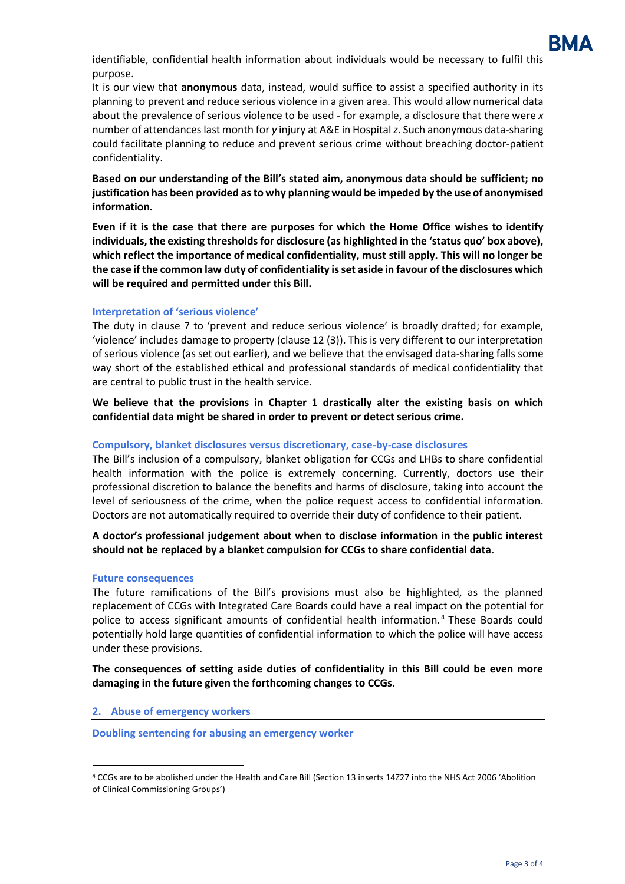

identifiable, confidential health information about individuals would be necessary to fulfil this purpose.

It is our view that **anonymous** data, instead, would suffice to assist a specified authority in its planning to prevent and reduce serious violence in a given area. This would allow numerical data about the prevalence of serious violence to be used - for example, a disclosure that there were *x* number of attendanceslast month for *y* injury at A&E in Hospital*z*. Such anonymous data-sharing could facilitate planning to reduce and prevent serious crime without breaching doctor-patient confidentiality.

**Based on our understanding of the Bill's stated aim, anonymous data should be sufficient; no justification has been provided as to why planning would be impeded by the use of anonymised information.**

**Even if it is the case that there are purposes for which the Home Office wishes to identify individuals, the existing thresholds for disclosure (as highlighted in the 'status quo' box above), which reflect the importance of medical confidentiality, must still apply. This will no longer be the case if the common law duty of confidentiality is set aside in favour of the disclosures which will be required and permitted under this Bill.** 

#### **Interpretation of 'serious violence'**

The duty in clause 7 to 'prevent and reduce serious violence' is broadly drafted; for example, 'violence' includes damage to property (clause 12 (3)). This is very different to our interpretation of serious violence (as set out earlier), and we believe that the envisaged data-sharing falls some way short of the established ethical and professional standards of medical confidentiality that are central to public trust in the health service.

**We believe that the provisions in Chapter 1 drastically alter the existing basis on which confidential data might be shared in order to prevent or detect serious crime.**

### **Compulsory, blanket disclosures versus discretionary, case-by-case disclosures**

The Bill's inclusion of a compulsory, blanket obligation for CCGs and LHBs to share confidential health information with the police is extremely concerning. Currently, doctors use their professional discretion to balance the benefits and harms of disclosure, taking into account the level of seriousness of the crime, when the police request access to confidential information. Doctors are not automatically required to override their duty of confidence to their patient.

### **A doctor's professional judgement about when to disclose information in the public interest should not be replaced by a blanket compulsion for CCGs to share confidential data.**

#### **Future consequences**

The future ramifications of the Bill's provisions must also be highlighted, as the planned replacement of CCGs with Integrated Care Boards could have a real impact on the potential for police to access significant amounts of confidential health information. <sup>4</sup> These Boards could potentially hold large quantities of confidential information to which the police will have access under these provisions.

**The consequences of setting aside duties of confidentiality in this Bill could be even more damaging in the future given the forthcoming changes to CCGs.**

#### **2. Abuse of emergency workers**

**Doubling sentencing for abusing an emergency worker**

<sup>4</sup> CCGs are to be abolished under the Health and Care Bill (Section 13 inserts 14Z27 into the NHS Act 2006 'Abolition of Clinical Commissioning Groups')